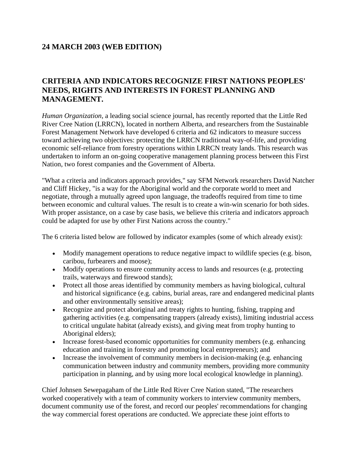## **24 MARCH 2003 (WEB EDITION)**

## **CRITERIA AND INDICATORS RECOGNIZE FIRST NATIONS PEOPLES' NEEDS, RIGHTS AND INTERESTS IN FOREST PLANNING AND MANAGEMENT.**

*Human Organization*, a leading social science journal, has recently reported that the Little Red River Cree Nation (LRRCN), located in northern Alberta, and researchers from the Sustainable Forest Management Network have developed 6 criteria and 62 indicators to measure success toward achieving two objectives: protecting the LRRCN traditional way-of-life, and providing economic self-reliance from forestry operations within LRRCN treaty lands. This research was undertaken to inform an on-going cooperative management planning process between this First Nation, two forest companies and the Government of Alberta.

"What a criteria and indicators approach provides," say SFM Network researchers David Natcher and Cliff Hickey, "is a way for the Aboriginal world and the corporate world to meet and negotiate, through a mutually agreed upon language, the tradeoffs required from time to time between economic and cultural values. The result is to create a win-win scenario for both sides. With proper assistance, on a case by case basis, we believe this criteria and indicators approach could be adapted for use by other First Nations across the country."

The 6 criteria listed below are followed by indicator examples (some of which already exist):

- Modify management operations to reduce negative impact to wildlife species (e.g. bison, caribou, furbearers and moose);
- Modify operations to ensure community access to lands and resources (e.g. protecting trails, waterways and firewood stands);
- Protect all those areas identified by community members as having biological, cultural and historical significance (e.g. cabins, burial areas, rare and endangered medicinal plants and other environmentally sensitive areas);
- Recognize and protect aboriginal and treaty rights to hunting, fishing, trapping and gathering activities (e.g. compensating trappers (already exists), limiting industrial access to critical ungulate habitat (already exists), and giving meat from trophy hunting to Aboriginal elders);
- Increase forest-based economic opportunities for community members (e.g. enhancing education and training in forestry and promoting local entrepreneurs); and
- Increase the involvement of community members in decision-making (e.g. enhancing communication between industry and community members, providing more community participation in planning, and by using more local ecological knowledge in planning).

Chief Johnsen Sewepagaham of the Little Red River Cree Nation stated, "The researchers worked cooperatively with a team of community workers to interview community members, document community use of the forest, and record our peoples' recommendations for changing the way commercial forest operations are conducted. We appreciate these joint efforts to